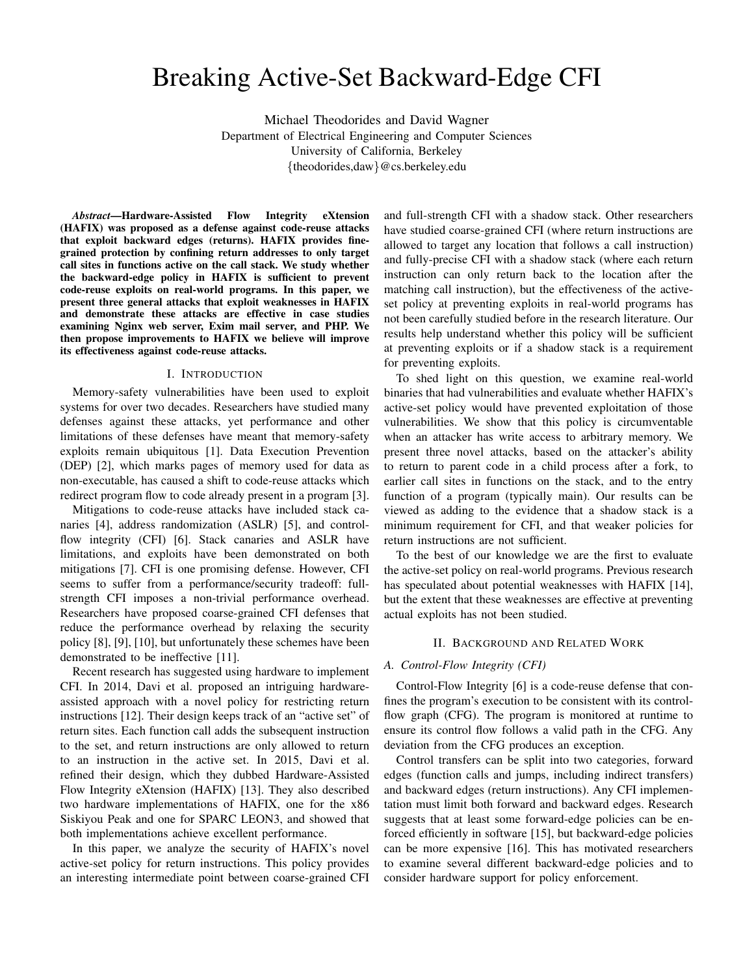# Breaking Active-Set Backward-Edge CFI

Michael Theodorides and David Wagner Department of Electrical Engineering and Computer Sciences University of California, Berkeley {theodorides,daw}@cs.berkeley.edu

*Abstract*—Hardware-Assisted Flow Integrity eXtension (HAFIX) was proposed as a defense against code-reuse attacks that exploit backward edges (returns). HAFIX provides finegrained protection by confining return addresses to only target call sites in functions active on the call stack. We study whether the backward-edge policy in HAFIX is sufficient to prevent code-reuse exploits on real-world programs. In this paper, we present three general attacks that exploit weaknesses in HAFIX and demonstrate these attacks are effective in case studies examining Nginx web server, Exim mail server, and PHP. We then propose improvements to HAFIX we believe will improve its effectiveness against code-reuse attacks.

# I. INTRODUCTION

Memory-safety vulnerabilities have been used to exploit systems for over two decades. Researchers have studied many defenses against these attacks, yet performance and other limitations of these defenses have meant that memory-safety exploits remain ubiquitous [1]. Data Execution Prevention (DEP) [2], which marks pages of memory used for data as non-executable, has caused a shift to code-reuse attacks which redirect program flow to code already present in a program [3].

Mitigations to code-reuse attacks have included stack canaries [4], address randomization (ASLR) [5], and controlflow integrity (CFI) [6]. Stack canaries and ASLR have limitations, and exploits have been demonstrated on both mitigations [7]. CFI is one promising defense. However, CFI seems to suffer from a performance/security tradeoff: fullstrength CFI imposes a non-trivial performance overhead. Researchers have proposed coarse-grained CFI defenses that reduce the performance overhead by relaxing the security policy [8], [9], [10], but unfortunately these schemes have been demonstrated to be ineffective [11].

Recent research has suggested using hardware to implement CFI. In 2014, Davi et al. proposed an intriguing hardwareassisted approach with a novel policy for restricting return instructions [12]. Their design keeps track of an "active set" of return sites. Each function call adds the subsequent instruction to the set, and return instructions are only allowed to return to an instruction in the active set. In 2015, Davi et al. refined their design, which they dubbed Hardware-Assisted Flow Integrity eXtension (HAFIX) [13]. They also described two hardware implementations of HAFIX, one for the x86 Siskiyou Peak and one for SPARC LEON3, and showed that both implementations achieve excellent performance.

In this paper, we analyze the security of HAFIX's novel active-set policy for return instructions. This policy provides an interesting intermediate point between coarse-grained CFI and full-strength CFI with a shadow stack. Other researchers have studied coarse-grained CFI (where return instructions are allowed to target any location that follows a call instruction) and fully-precise CFI with a shadow stack (where each return instruction can only return back to the location after the matching call instruction), but the effectiveness of the activeset policy at preventing exploits in real-world programs has not been carefully studied before in the research literature. Our results help understand whether this policy will be sufficient at preventing exploits or if a shadow stack is a requirement for preventing exploits.

To shed light on this question, we examine real-world binaries that had vulnerabilities and evaluate whether HAFIX's active-set policy would have prevented exploitation of those vulnerabilities. We show that this policy is circumventable when an attacker has write access to arbitrary memory. We present three novel attacks, based on the attacker's ability to return to parent code in a child process after a fork, to earlier call sites in functions on the stack, and to the entry function of a program (typically main). Our results can be viewed as adding to the evidence that a shadow stack is a minimum requirement for CFI, and that weaker policies for return instructions are not sufficient.

To the best of our knowledge we are the first to evaluate the active-set policy on real-world programs. Previous research has speculated about potential weaknesses with HAFIX [14], but the extent that these weaknesses are effective at preventing actual exploits has not been studied.

## II. BACKGROUND AND RELATED WORK

#### *A. Control-Flow Integrity (CFI)*

Control-Flow Integrity [6] is a code-reuse defense that confines the program's execution to be consistent with its controlflow graph (CFG). The program is monitored at runtime to ensure its control flow follows a valid path in the CFG. Any deviation from the CFG produces an exception.

Control transfers can be split into two categories, forward edges (function calls and jumps, including indirect transfers) and backward edges (return instructions). Any CFI implementation must limit both forward and backward edges. Research suggests that at least some forward-edge policies can be enforced efficiently in software [15], but backward-edge policies can be more expensive [16]. This has motivated researchers to examine several different backward-edge policies and to consider hardware support for policy enforcement.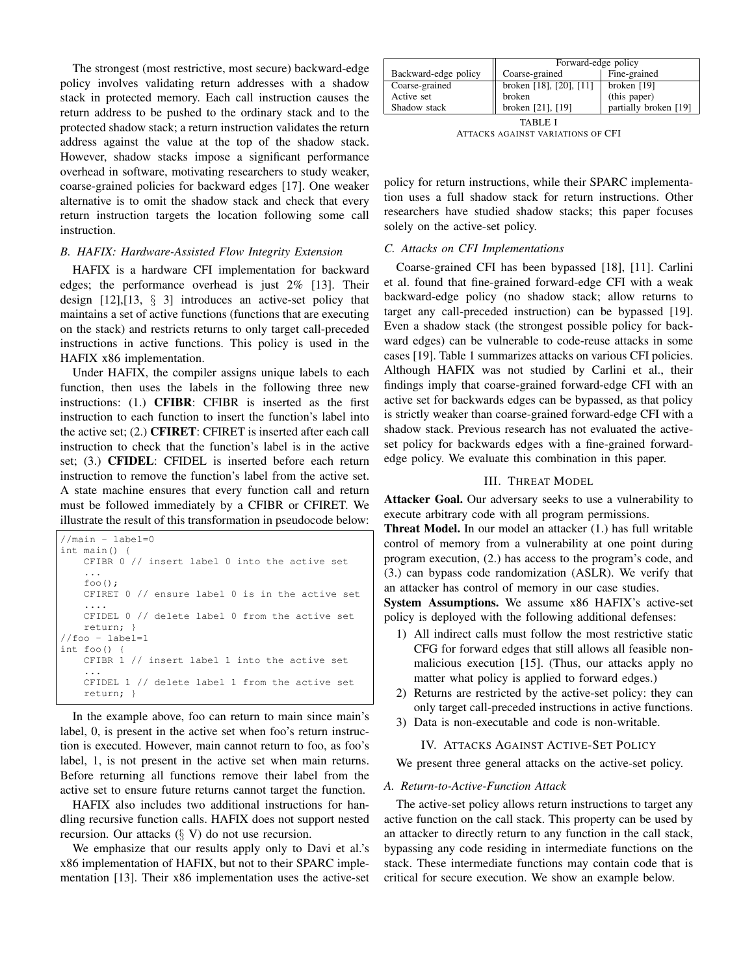The strongest (most restrictive, most secure) backward-edge policy involves validating return addresses with a shadow stack in protected memory. Each call instruction causes the return address to be pushed to the ordinary stack and to the protected shadow stack; a return instruction validates the return address against the value at the top of the shadow stack. However, shadow stacks impose a significant performance overhead in software, motivating researchers to study weaker, coarse-grained policies for backward edges [17]. One weaker alternative is to omit the shadow stack and check that every return instruction targets the location following some call instruction.

# *B. HAFIX: Hardware-Assisted Flow Integrity Extension*

HAFIX is a hardware CFI implementation for backward edges; the performance overhead is just 2% [13]. Their design [12],[13, § 3] introduces an active-set policy that maintains a set of active functions (functions that are executing on the stack) and restricts returns to only target call-preceded instructions in active functions. This policy is used in the HAFIX x86 implementation.

Under HAFIX, the compiler assigns unique labels to each function, then uses the labels in the following three new instructions: (1.) CFIBR: CFIBR is inserted as the first instruction to each function to insert the function's label into the active set; (2.) CFIRET: CFIRET is inserted after each call instruction to check that the function's label is in the active set; (3.) CFIDEL: CFIDEL is inserted before each return instruction to remove the function's label from the active set. A state machine ensures that every function call and return must be followed immediately by a CFIBR or CFIRET. We illustrate the result of this transformation in pseudocode below:

```
//main - label=0
int main() {
    CFIBR 0 // insert label 0 into the active set
    ...
    foo();
    CFIRET 0 // ensure label 0 is in the active set
    ....
    CFIDEL 0 // delete label 0 from the active set
   return; }
//foo - label=1
int foo() {
   CFIBR 1 // insert label 1 into the active set
    ...
    CFIDEL 1 // delete label 1 from the active set
    return; }
```
In the example above, foo can return to main since main's label, 0, is present in the active set when foo's return instruction is executed. However, main cannot return to foo, as foo's label, 1, is not present in the active set when main returns. Before returning all functions remove their label from the active set to ensure future returns cannot target the function.

HAFIX also includes two additional instructions for handling recursive function calls. HAFIX does not support nested recursion. Our attacks  $(\S V)$  do not use recursion.

We emphasize that our results apply only to Davi et al.'s x86 implementation of HAFIX, but not to their SPARC implementation [13]. Their x86 implementation uses the active-set

|                      | Forward-edge policy             |                       |  |
|----------------------|---------------------------------|-----------------------|--|
| Backward-edge policy | Coarse-grained                  | Fine-grained          |  |
| Coarse-grained       | broken [18], [20], [11] $\vert$ | broken $[19]$         |  |
| Active set           | broken                          | (this paper)          |  |
| Shadow stack         | broken [21], [19]               | partially broken [19] |  |
| TABLE                |                                 |                       |  |

ATTACKS AGAINST VARIATIONS OF CFI

policy for return instructions, while their SPARC implementation uses a full shadow stack for return instructions. Other researchers have studied shadow stacks; this paper focuses solely on the active-set policy.

#### *C. Attacks on CFI Implementations*

Coarse-grained CFI has been bypassed [18], [11]. Carlini et al. found that fine-grained forward-edge CFI with a weak backward-edge policy (no shadow stack; allow returns to target any call-preceded instruction) can be bypassed [19]. Even a shadow stack (the strongest possible policy for backward edges) can be vulnerable to code-reuse attacks in some cases [19]. Table 1 summarizes attacks on various CFI policies. Although HAFIX was not studied by Carlini et al., their findings imply that coarse-grained forward-edge CFI with an active set for backwards edges can be bypassed, as that policy is strictly weaker than coarse-grained forward-edge CFI with a shadow stack. Previous research has not evaluated the activeset policy for backwards edges with a fine-grained forwardedge policy. We evaluate this combination in this paper.

# III. THREAT MODEL

Attacker Goal. Our adversary seeks to use a vulnerability to execute arbitrary code with all program permissions.

Threat Model. In our model an attacker (1.) has full writable control of memory from a vulnerability at one point during program execution, (2.) has access to the program's code, and (3.) can bypass code randomization (ASLR). We verify that an attacker has control of memory in our case studies.

System Assumptions. We assume x86 HAFIX's active-set policy is deployed with the following additional defenses:

- 1) All indirect calls must follow the most restrictive static CFG for forward edges that still allows all feasible nonmalicious execution [15]. (Thus, our attacks apply no matter what policy is applied to forward edges.)
- 2) Returns are restricted by the active-set policy: they can only target call-preceded instructions in active functions.
- 3) Data is non-executable and code is non-writable.

# IV. ATTACKS AGAINST ACTIVE-SET POLICY

We present three general attacks on the active-set policy.

# *A. Return-to-Active-Function Attack*

The active-set policy allows return instructions to target any active function on the call stack. This property can be used by an attacker to directly return to any function in the call stack, bypassing any code residing in intermediate functions on the stack. These intermediate functions may contain code that is critical for secure execution. We show an example below.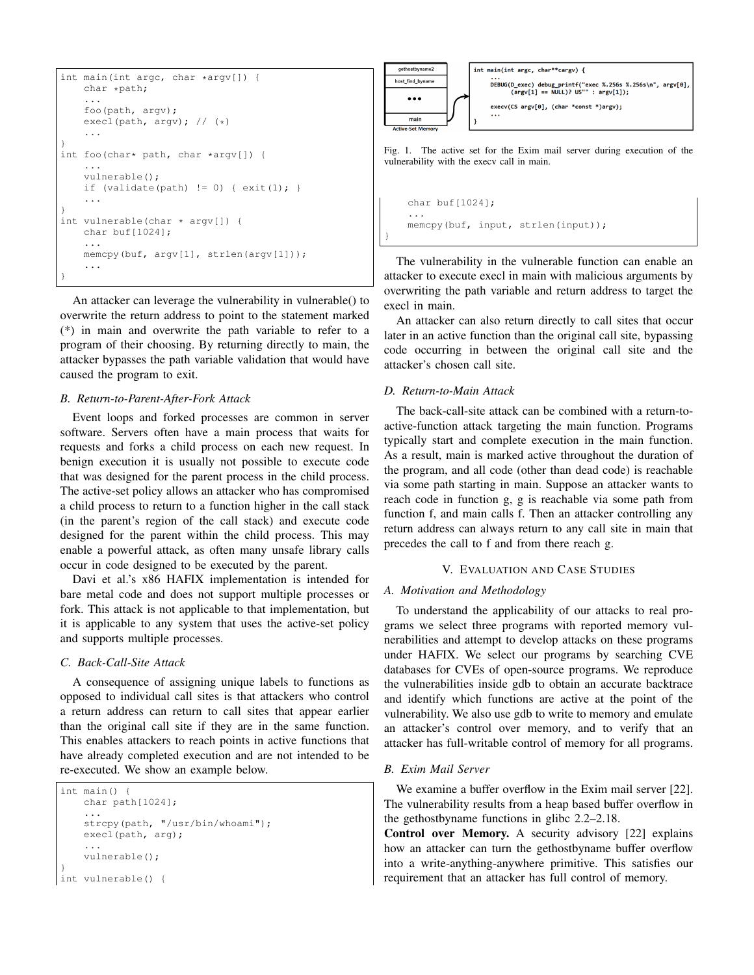```
int main(int argc, char *argv[]) {
   char *path;
    ...
    foo(path, argv);
    execl(path, argv); // (*)
    ...
}
int foo(char* path, char *argv[]) {
    ...
    vulnerable();
    if (validate(path) != 0) { exit(1); }
    ...
}
int vulnerable(char * argv[]) {
    char buf[1024];
    ...
    memcpy(buf, argv[1], strlen(argv[1]));
    ...
}
```
An attacker can leverage the vulnerability in vulnerable() to overwrite the return address to point to the statement marked (\*) in main and overwrite the path variable to refer to a program of their choosing. By returning directly to main, the attacker bypasses the path variable validation that would have caused the program to exit.

# *B. Return-to-Parent-After-Fork Attack*

Event loops and forked processes are common in server software. Servers often have a main process that waits for requests and forks a child process on each new request. In benign execution it is usually not possible to execute code that was designed for the parent process in the child process. The active-set policy allows an attacker who has compromised a child process to return to a function higher in the call stack (in the parent's region of the call stack) and execute code designed for the parent within the child process. This may enable a powerful attack, as often many unsafe library calls occur in code designed to be executed by the parent.

Davi et al.'s x86 HAFIX implementation is intended for bare metal code and does not support multiple processes or fork. This attack is not applicable to that implementation, but it is applicable to any system that uses the active-set policy and supports multiple processes.

# *C. Back-Call-Site Attack*

A consequence of assigning unique labels to functions as opposed to individual call sites is that attackers who control a return address can return to call sites that appear earlier than the original call site if they are in the same function. This enables attackers to reach points in active functions that have already completed execution and are not intended to be re-executed. We show an example below.

```
int main() {
    char path[1024];
    ...
    strcpy(path, "/usr/bin/whoami");
    execl(path, arg);
    ...
    vulnerable();
}
int vulnerable() {
```


Fig. 1. The active set for the Exim mail server during execution of the vulnerability with the execv call in main.

```
char buf[1024];
...
memcpy(buf, input, strlen(input));
```
The vulnerability in the vulnerable function can enable an attacker to execute execl in main with malicious arguments by overwriting the path variable and return address to target the execl in main.

An attacker can also return directly to call sites that occur later in an active function than the original call site, bypassing code occurring in between the original call site and the attacker's chosen call site.

# *D. Return-to-Main Attack*

}

The back-call-site attack can be combined with a return-toactive-function attack targeting the main function. Programs typically start and complete execution in the main function. As a result, main is marked active throughout the duration of the program, and all code (other than dead code) is reachable via some path starting in main. Suppose an attacker wants to reach code in function g, g is reachable via some path from function f, and main calls f. Then an attacker controlling any return address can always return to any call site in main that precedes the call to f and from there reach g.

# V. EVALUATION AND CASE STUDIES

#### *A. Motivation and Methodology*

To understand the applicability of our attacks to real programs we select three programs with reported memory vulnerabilities and attempt to develop attacks on these programs under HAFIX. We select our programs by searching CVE databases for CVEs of open-source programs. We reproduce the vulnerabilities inside gdb to obtain an accurate backtrace and identify which functions are active at the point of the vulnerability. We also use gdb to write to memory and emulate an attacker's control over memory, and to verify that an attacker has full-writable control of memory for all programs.

## *B. Exim Mail Server*

We examine a buffer overflow in the Exim mail server [22]. The vulnerability results from a heap based buffer overflow in the gethostbyname functions in glibc 2.2–2.18.

Control over Memory. A security advisory [22] explains how an attacker can turn the gethostbyname buffer overflow into a write-anything-anywhere primitive. This satisfies our requirement that an attacker has full control of memory.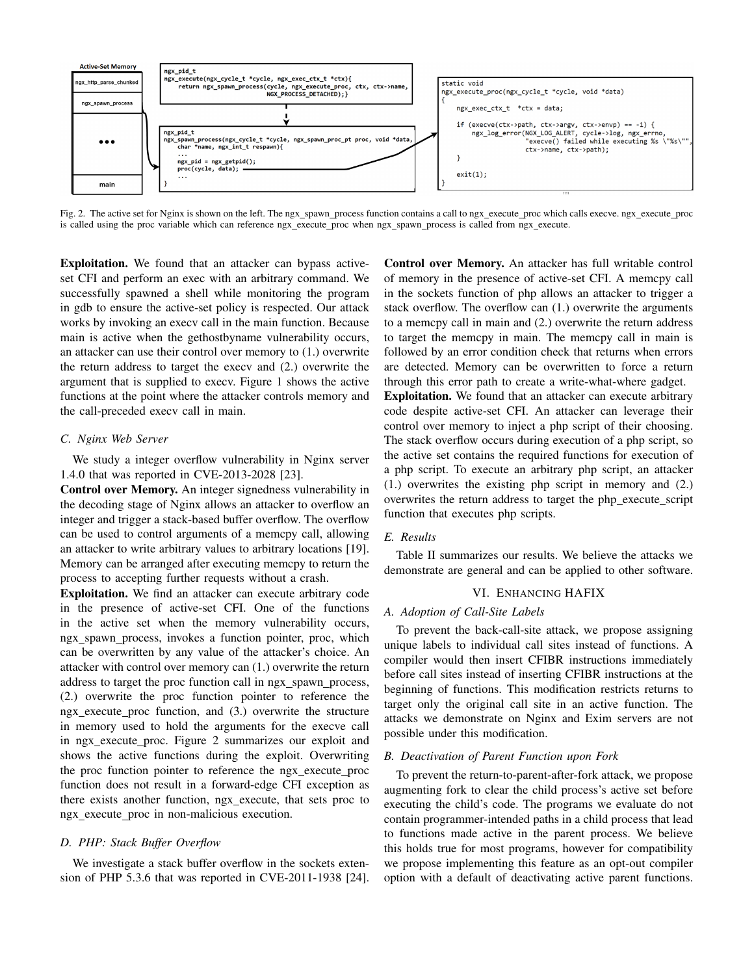

Fig. 2. The active set for Nginx is shown on the left. The ngx\_spawn\_process function contains a call to ngx\_execute\_proc which calls execve. ngx\_execute\_proc is called using the proc variable which can reference ngx\_execute\_proc when ngx\_spawn\_process is called from ngx\_execute.

Exploitation. We found that an attacker can bypass activeset CFI and perform an exec with an arbitrary command. We successfully spawned a shell while monitoring the program in gdb to ensure the active-set policy is respected. Our attack works by invoking an execv call in the main function. Because main is active when the gethostbyname vulnerability occurs, an attacker can use their control over memory to (1.) overwrite the return address to target the execv and (2.) overwrite the argument that is supplied to execv. Figure 1 shows the active functions at the point where the attacker controls memory and the call-preceded execv call in main.

# *C. Nginx Web Server*

We study a integer overflow vulnerability in Nginx server 1.4.0 that was reported in CVE-2013-2028 [23].

Control over Memory. An integer signedness vulnerability in the decoding stage of Nginx allows an attacker to overflow an integer and trigger a stack-based buffer overflow. The overflow can be used to control arguments of a memcpy call, allowing an attacker to write arbitrary values to arbitrary locations [19]. Memory can be arranged after executing memcpy to return the process to accepting further requests without a crash.

Exploitation. We find an attacker can execute arbitrary code in the presence of active-set CFI. One of the functions in the active set when the memory vulnerability occurs, ngx\_spawn\_process, invokes a function pointer, proc, which can be overwritten by any value of the attacker's choice. An attacker with control over memory can (1.) overwrite the return address to target the proc function call in ngx\_spawn\_process, (2.) overwrite the proc function pointer to reference the ngx execute proc function, and (3.) overwrite the structure in memory used to hold the arguments for the execve call in ngx execute proc. Figure 2 summarizes our exploit and shows the active functions during the exploit. Overwriting the proc function pointer to reference the ngx\_execute\_proc function does not result in a forward-edge CFI exception as there exists another function, ngx execute, that sets proc to ngx execute proc in non-malicious execution.

# *D. PHP: Stack Buffer Overflow*

We investigate a stack buffer overflow in the sockets extension of PHP 5.3.6 that was reported in CVE-2011-1938 [24].

Control over Memory. An attacker has full writable control of memory in the presence of active-set CFI. A memcpy call in the sockets function of php allows an attacker to trigger a stack overflow. The overflow can (1.) overwrite the arguments to a memcpy call in main and (2.) overwrite the return address to target the memcpy in main. The memcpy call in main is followed by an error condition check that returns when errors are detected. Memory can be overwritten to force a return through this error path to create a write-what-where gadget. Exploitation. We found that an attacker can execute arbitrary code despite active-set CFI. An attacker can leverage their control over memory to inject a php script of their choosing. The stack overflow occurs during execution of a php script, so the active set contains the required functions for execution of a php script. To execute an arbitrary php script, an attacker (1.) overwrites the existing php script in memory and (2.) overwrites the return address to target the php\_execute\_script function that executes php scripts.

# *E. Results*

Table II summarizes our results. We believe the attacks we demonstrate are general and can be applied to other software.

#### VI. ENHANCING HAFIX

## *A. Adoption of Call-Site Labels*

To prevent the back-call-site attack, we propose assigning unique labels to individual call sites instead of functions. A compiler would then insert CFIBR instructions immediately before call sites instead of inserting CFIBR instructions at the beginning of functions. This modification restricts returns to target only the original call site in an active function. The attacks we demonstrate on Nginx and Exim servers are not possible under this modification.

# *B. Deactivation of Parent Function upon Fork*

To prevent the return-to-parent-after-fork attack, we propose augmenting fork to clear the child process's active set before executing the child's code. The programs we evaluate do not contain programmer-intended paths in a child process that lead to functions made active in the parent process. We believe this holds true for most programs, however for compatibility we propose implementing this feature as an opt-out compiler option with a default of deactivating active parent functions.